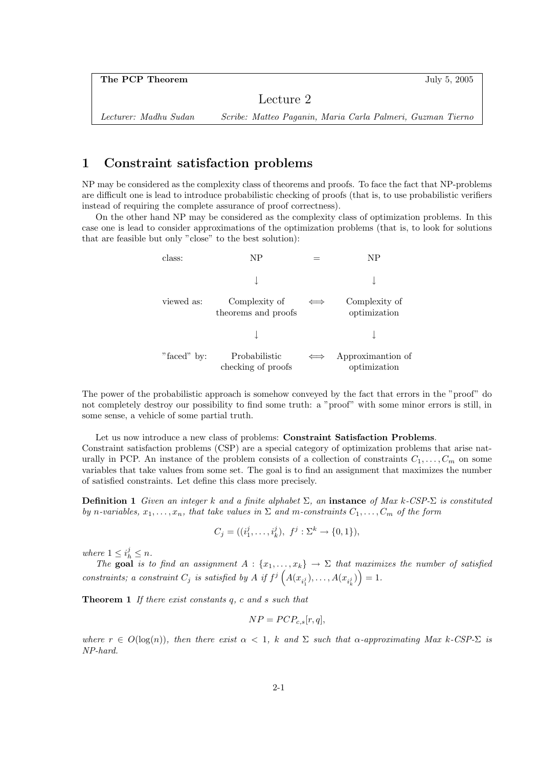Lecture 2

Lecturer: Madhu Sudan Scribe: Matteo Paganin, Maria Carla Palmeri, Guzman Tierno

## 1 Constraint satisfaction problems

NP may be considered as the complexity class of theorems and proofs. To face the fact that NP-problems are difficult one is lead to introduce probabilistic checking of proofs (that is, to use probabilistic verifiers instead of requiring the complete assurance of proof correctness).

On the other hand NP may be considered as the complexity class of optimization problems. In this case one is lead to consider approximations of the optimization problems (that is, to look for solutions that are feasible but only "close" to the best solution):

| class:      | NΡ                                   | NΡ                                |
|-------------|--------------------------------------|-----------------------------------|
|             |                                      |                                   |
| viewed as:  | Complexity of<br>theorems and proofs | Complexity of<br>optimization     |
|             |                                      |                                   |
| "faced" by: | Probabilistic<br>checking of proofs  | Approximantion of<br>optimization |

The power of the probabilistic approach is somehow conveyed by the fact that errors in the "proof" do not completely destroy our possibility to find some truth: a "proof" with some minor errors is still, in some sense, a vehicle of some partial truth.

Let us now introduce a new class of problems: Constraint Satisfaction Problems. Constraint satisfaction problems (CSP) are a special category of optimization problems that arise naturally in PCP. An instance of the problem consists of a collection of constraints  $C_1, \ldots, C_m$  on some variables that take values from some set. The goal is to find an assignment that maximizes the number of satisfied constraints. Let define this class more precisely.

**Definition 1** Given an integer k and a finite alphabet  $\Sigma$ , an **instance** of Max k-CSP- $\Sigma$  is constituted by n-variables,  $x_1, \ldots, x_n$ , that take values in  $\Sigma$  and m-constraints  $C_1, \ldots, C_m$  of the form

$$
C_j = ((i_1^j, \dots, i_k^j), f^j : \Sigma^k \to \{0, 1\}),
$$

where  $1 \leq i_h^j \leq n$ .

The goal is to find an assignment  $A: \{x_1, \ldots, x_k\} \to \Sigma$  that maximizes the number of satisfied constraints; a constraint  $C_j$  is satisfied by A if  $f^j\left(A(x_{i_1^j}),\ldots,A(x_{i_k^j})\right)=1$ .

Theorem 1 If there exist constants q, c and s such that

$$
NP = PCP_{c,s}[r,q],
$$

where  $r \in O(\log(n))$ , then there exist  $\alpha < 1$ , k and  $\Sigma$  such that  $\alpha$ -approximating Max k-CSP- $\Sigma$  is NP-hard.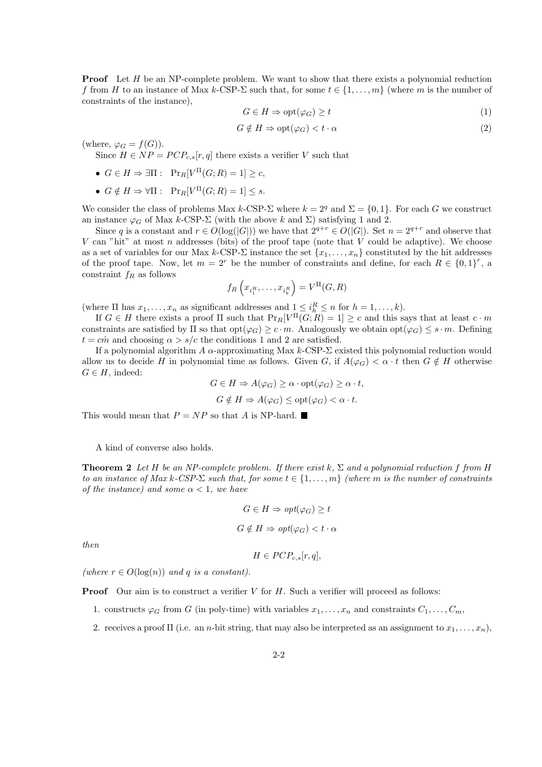**Proof** Let H be an NP-complete problem. We want to show that there exists a polynomial reduction f from H to an instance of Max k-CSP- $\Sigma$  such that, for some  $t \in \{1, \ldots, m\}$  (where m is the number of constraints of the instance),

$$
G \in H \Rightarrow \text{opt}(\varphi_G) \ge t \tag{1}
$$

$$
G \notin H \Rightarrow \text{opt}(\varphi_G) < t \cdot \alpha \tag{2}
$$

(where,  $\varphi_G = f(G)$ ).

Since  $H \in NP = PCP_{cs}[r, q]$  there exists a verifier V such that

- $G \in H \Rightarrow \exists \Pi : \text{Pr}_R[V^{\Pi}(G; R) = 1] \ge c,$
- $G \notin H \Rightarrow \forall \Pi : \text{Pr}_R[V^{\Pi}(G; R) = 1] \leq s.$

We consider the class of problems Max k-CSP- $\Sigma$  where  $k = 2<sup>q</sup>$  and  $\Sigma = \{0, 1\}$ . For each G we construct an instance  $\varphi_G$  of Max k-CSP- $\Sigma$  (with the above k and  $\Sigma$ ) satisfying 1 and 2.

Since q is a constant and  $r \in O(\log(|G|))$  we have that  $2^{q+r} \in O(|G|)$ . Set  $n = 2^{q+r}$  and observe that  $V$  can "hit" at most  $n$  addresses (bits) of the proof tape (note that  $V$  could be adaptive). We choose as a set of variables for our Max k-CSP- $\Sigma$  instance the set  $\{x_1, \ldots, x_n\}$  constituted by the hit addresses of the proof tape. Now, let  $m = 2^r$  be the number of constraints and define, for each  $R \in \{0,1\}^r$ , a constraint  $f_R$  as follows  $\overline{a}$ ´

$$
f_R\left(x_{i_1^R},\ldots,x_{i_k^R}\right) = V^{\Pi}(G,R)
$$

(where  $\Pi$  has  $x_1, \ldots, x_n$  as significant addresses and  $1 \leq i_h^R \leq n$  for  $h = 1, \ldots, k$ ).

If  $G \in H$  there exists a proof  $\Pi$  such that  $Pr_R[V^{\Pi}(G;R) = 1] \ge c$  and this says that at least  $c \cdot m$ constraints are satisfied by  $\Pi$  so that  $opt(\varphi_G) \geq c \cdot m$ . Analogously we obtain  $opt(\varphi_G) \leq s \cdot m$ . Defining  $t = c\dot{m}$  and choosing  $\alpha > s/c$  the conditions 1 and 2 are satisfied.

If a polynomial algorithm  $A \alpha$ -approximating Max k-CSP- $\Sigma$  existed this polynomial reduction would allow us to decide H in polynomial time as follows. Given G, if  $A(\varphi_G) < \alpha \cdot t$  then  $G \notin H$  otherwise  $G \in H$ , indeed:

> $G \in H \Rightarrow A(\varphi_G) \geq \alpha \cdot \text{opt}(\varphi_G) \geq \alpha \cdot t,$  $G \notin H \Rightarrow A(\varphi_G) \leq \text{opt}(\varphi_G) \leq \alpha \cdot t.$

This would mean that  $P = NP$  so that A is NP-hard.

A kind of converse also holds.

**Theorem 2** Let H be an NP-complete problem. If there exist k,  $\Sigma$  and a polynomial reduction f from H to an instance of Max k-CSP- $\Sigma$  such that, for some  $t \in \{1, \ldots, m\}$  (where m is the number of constraints of the instance) and some  $\alpha < 1$ , we have

$$
G \in H \Rightarrow opt(\varphi_G) \ge t
$$
  

$$
G \notin H \Rightarrow opt(\varphi_G) < t \cdot \alpha
$$

then

$$
H \in PCP_{c,s}[r,q],
$$

(where  $r \in O(\log(n))$  and q is a constant).

**Proof** Our aim is to construct a verifier  $V$  for  $H$ . Such a verifier will proceed as follows:

- 1. constructs  $\varphi_G$  from G (in poly-time) with variables  $x_1, \ldots, x_n$  and constraints  $C_1, \ldots, C_m$ ,
- 2. receives a proof  $\Pi$  (i.e. an *n*-bit string, that may also be interpreted as an assignment to  $x_1, \ldots, x_n$ ),